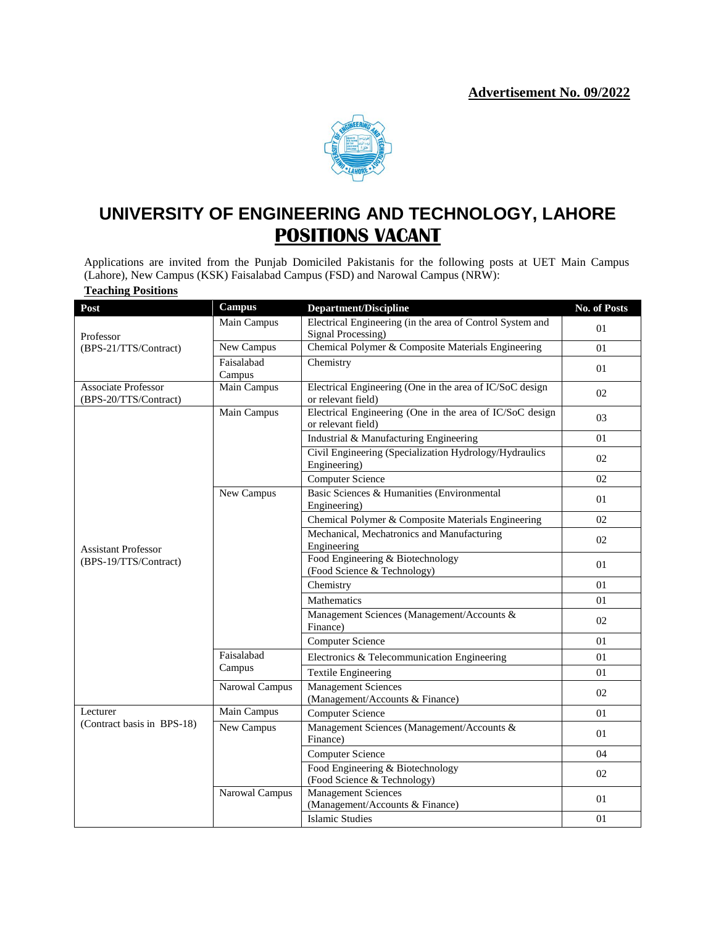

# **UNIVERSITY OF ENGINEERING AND TECHNOLOGY, LAHORE POSITIONS VACANT**

Applications are invited from the Punjab Domiciled Pakistanis for the following posts at UET Main Campus (Lahore), New Campus (KSK) Faisalabad Campus (FSD) and Narowal Campus (NRW): **Teaching Positions**

| Post                                                | <b>Campus</b>     | <b>Department/Discipline</b>                                                   | No. of Posts |  |
|-----------------------------------------------------|-------------------|--------------------------------------------------------------------------------|--------------|--|
|                                                     | Main Campus       | Electrical Engineering (in the area of Control System and                      | 01           |  |
| Professor                                           |                   | Signal Processing)                                                             |              |  |
| (BPS-21/TTS/Contract)                               | New Campus        | Chemical Polymer & Composite Materials Engineering                             | 01           |  |
|                                                     | Faisalabad        | Chemistry                                                                      | 01           |  |
|                                                     | Campus            |                                                                                |              |  |
| <b>Associate Professor</b><br>(BPS-20/TTS/Contract) | Main Campus       | Electrical Engineering (One in the area of IC/SoC design<br>or relevant field) | 02           |  |
| <b>Assistant Professor</b><br>(BPS-19/TTS/Contract) | Main Campus       | Electrical Engineering (One in the area of IC/SoC design<br>or relevant field) | 03           |  |
|                                                     |                   | Industrial & Manufacturing Engineering                                         | 01           |  |
|                                                     |                   | Civil Engineering (Specialization Hydrology/Hydraulics<br>Engineering)         | 02           |  |
|                                                     |                   | <b>Computer Science</b>                                                        | 02           |  |
|                                                     | New Campus        | Basic Sciences & Humanities (Environmental<br>Engineering)                     | 01           |  |
|                                                     |                   | Chemical Polymer & Composite Materials Engineering                             | 02           |  |
|                                                     |                   | Mechanical, Mechatronics and Manufacturing                                     |              |  |
|                                                     |                   | Engineering                                                                    | 02           |  |
|                                                     |                   | Food Engineering & Biotechnology                                               | 01           |  |
|                                                     |                   | (Food Science & Technology)                                                    |              |  |
|                                                     |                   | Chemistry                                                                      | 01           |  |
|                                                     |                   | Mathematics                                                                    | 01           |  |
|                                                     |                   | Management Sciences (Management/Accounts &<br>Finance)                         | 02           |  |
|                                                     |                   | <b>Computer Science</b>                                                        | 01           |  |
|                                                     | Faisalabad        | Electronics & Telecommunication Engineering                                    | 01           |  |
|                                                     | Campus            | <b>Textile Engineering</b>                                                     | 01           |  |
|                                                     | Narowal Campus    | <b>Management Sciences</b><br>(Management/Accounts & Finance)                  | 02           |  |
| Lecturer                                            | Main Campus       | <b>Computer Science</b>                                                        | 01           |  |
| (Contract basis in BPS-18)                          | <b>New Campus</b> | Management Sciences (Management/Accounts &<br>Finance)                         | 01           |  |
|                                                     |                   | <b>Computer Science</b>                                                        | 04           |  |
|                                                     |                   | Food Engineering & Biotechnology<br>(Food Science & Technology)                | 02           |  |
|                                                     | Narowal Campus    | <b>Management Sciences</b>                                                     | 01           |  |
|                                                     |                   | (Management/Accounts & Finance)                                                |              |  |
|                                                     |                   | <b>Islamic Studies</b>                                                         | 01           |  |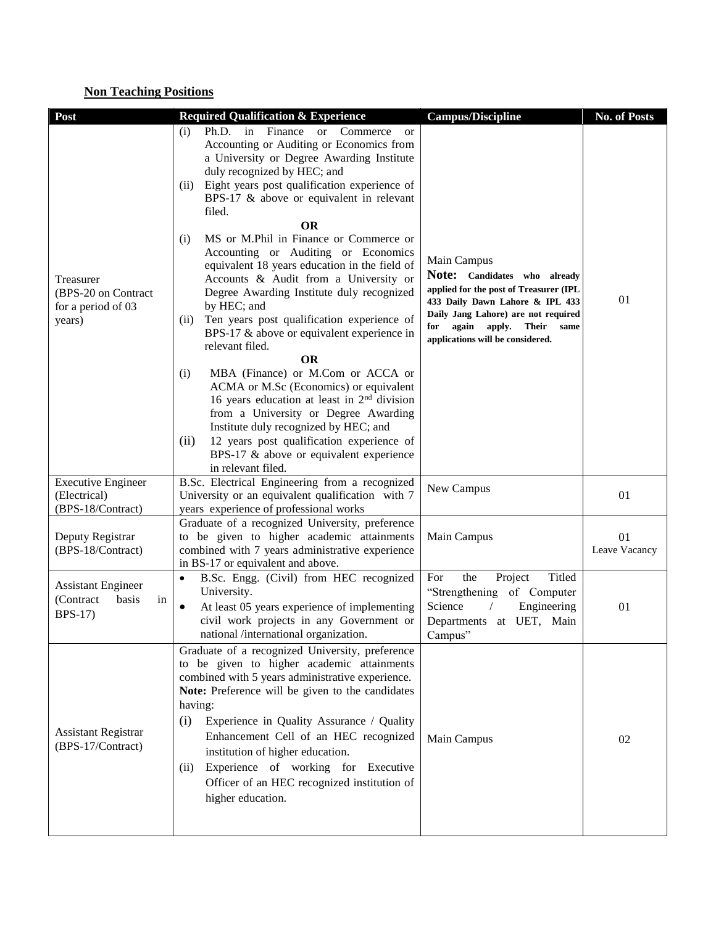## **Non Teaching Positions**

| Post                                                                    | <b>Required Qualification &amp; Experience</b>                                                                                                                                                                                                                                                                                                                                                                                                                                                                                                                                                                                                                                                                                                                                                                                                                                                                                                                                                                                         | <b>Campus/Discipline</b>                                                                                                                                                                                                                    | No. of Posts        |
|-------------------------------------------------------------------------|----------------------------------------------------------------------------------------------------------------------------------------------------------------------------------------------------------------------------------------------------------------------------------------------------------------------------------------------------------------------------------------------------------------------------------------------------------------------------------------------------------------------------------------------------------------------------------------------------------------------------------------------------------------------------------------------------------------------------------------------------------------------------------------------------------------------------------------------------------------------------------------------------------------------------------------------------------------------------------------------------------------------------------------|---------------------------------------------------------------------------------------------------------------------------------------------------------------------------------------------------------------------------------------------|---------------------|
| Treasurer<br>(BPS-20 on Contract<br>for a period of 03<br>years)        | Ph.D. in Finance or Commerce<br>(i)<br><b>or</b><br>Accounting or Auditing or Economics from<br>a University or Degree Awarding Institute<br>duly recognized by HEC; and<br>Eight years post qualification experience of<br>(ii)<br>BPS-17 & above or equivalent in relevant<br>filed.<br>OR<br>MS or M.Phil in Finance or Commerce or<br>(i)<br>Accounting or Auditing or Economics<br>equivalent 18 years education in the field of<br>Accounts & Audit from a University or<br>Degree Awarding Institute duly recognized<br>by HEC; and<br>Ten years post qualification experience of<br>(ii)<br>BPS-17 & above or equivalent experience in<br>relevant filed.<br><b>OR</b><br>MBA (Finance) or M.Com or ACCA or<br>(i)<br>ACMA or M.Sc (Economics) or equivalent<br>16 years education at least in 2 <sup>nd</sup> division<br>from a University or Degree Awarding<br>Institute duly recognized by HEC; and<br>12 years post qualification experience of<br>(ii)<br>BPS-17 & above or equivalent experience<br>in relevant filed. | Main Campus<br>Note: Candidates who already<br>applied for the post of Treasurer (IPL<br>433 Daily Dawn Lahore & IPL 433<br>Daily Jang Lahore) are not required<br>for<br>again apply.<br>Their<br>same<br>applications will be considered. | 01                  |
| <b>Executive Engineer</b><br>(Electrical)                               | B.Sc. Electrical Engineering from a recognized<br>University or an equivalent qualification with 7                                                                                                                                                                                                                                                                                                                                                                                                                                                                                                                                                                                                                                                                                                                                                                                                                                                                                                                                     | New Campus                                                                                                                                                                                                                                  | 01                  |
| (BPS-18/Contract)                                                       | years experience of professional works                                                                                                                                                                                                                                                                                                                                                                                                                                                                                                                                                                                                                                                                                                                                                                                                                                                                                                                                                                                                 |                                                                                                                                                                                                                                             |                     |
| Deputy Registrar<br>(BPS-18/Contract)                                   | Graduate of a recognized University, preference<br>to be given to higher academic attainments<br>combined with 7 years administrative experience<br>in BS-17 or equivalent and above.                                                                                                                                                                                                                                                                                                                                                                                                                                                                                                                                                                                                                                                                                                                                                                                                                                                  | Main Campus                                                                                                                                                                                                                                 | 01<br>Leave Vacancy |
| <b>Assistant Engineer</b><br>(Contract<br>basis<br>in<br><b>BPS-17)</b> | B.Sc. Engg. (Civil) from HEC recognized<br>$\bullet$<br>University.<br>$\bullet$<br>At least 05 years experience of implementing<br>civil work projects in any Government or<br>national /international organization.                                                                                                                                                                                                                                                                                                                                                                                                                                                                                                                                                                                                                                                                                                                                                                                                                  | Titled<br>For<br>the<br>Project<br>"Strengthening of Computer<br>Science<br>Engineering<br>$\sqrt{2}$<br>Departments at UET, Main<br>Campus"                                                                                                | 01                  |
| <b>Assistant Registrar</b><br>(BPS-17/Contract)                         | Graduate of a recognized University, preference<br>to be given to higher academic attainments<br>combined with 5 years administrative experience.<br>Note: Preference will be given to the candidates<br>having:<br>(i)<br>Experience in Quality Assurance / Quality<br>Enhancement Cell of an HEC recognized<br>institution of higher education.<br>Experience of working for Executive<br>(ii)<br>Officer of an HEC recognized institution of<br>higher education.                                                                                                                                                                                                                                                                                                                                                                                                                                                                                                                                                                   | Main Campus                                                                                                                                                                                                                                 | 02                  |